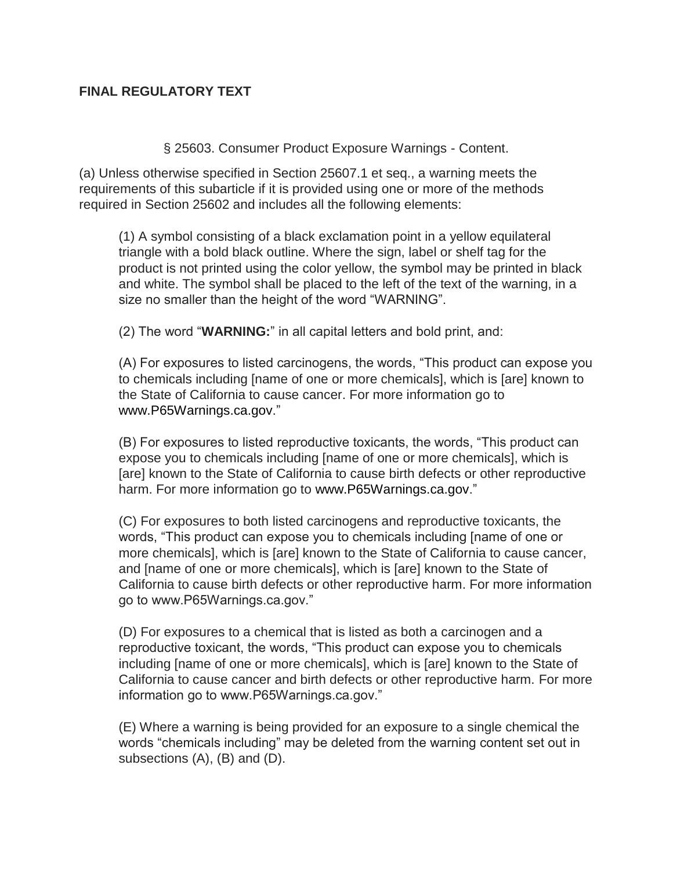## **FINAL REGULATORY TEXT**

§ 25603. Consumer Product Exposure Warnings - Content.

(a) Unless otherwise specified in Section 25607.1 et seq., a warning meets the requirements of this subarticle if it is provided using one or more of the methods required in Section 25602 and includes all the following elements:

(1) A symbol consisting of a black exclamation point in a yellow equilateral triangle with a bold black outline. Where the sign, label or shelf tag for the product is not printed using the color yellow, the symbol may be printed in black and white. The symbol shall be placed to the left of the text of the warning, in a size no smaller than the height of the word "WARNING".

(2) The word "**WARNING:**" in all capital letters and bold print, and:

(A) For exposures to listed carcinogens, the words, "This product can expose you to chemicals including [name of one or more chemicals], which is [are] known to the State of California to cause cancer. For more information go to www.P65Warnings.ca.gov."

(B) For exposures to listed reproductive toxicants, the words, "This product can expose you to chemicals including [name of one or more chemicals], which is [are] known to the State of California to cause birth defects or other reproductive harm. For more information go to www.P65Warnings.ca.gov."

(C) For exposures to both listed carcinogens and reproductive toxicants, the words, "This product can expose you to chemicals including [name of one or more chemicals], which is [are] known to the State of California to cause cancer, and [name of one or more chemicals], which is [are] known to the State of California to cause birth defects or other reproductive harm. For more information go to www.P65Warnings.ca.gov."

(D) For exposures to a chemical that is listed as both a carcinogen and a reproductive toxicant, the words, "This product can expose you to chemicals including [name of one or more chemicals], which is [are] known to the State of California to cause cancer and birth defects or other reproductive harm. For more information go to www.P65Warnings.ca.gov."

(E) Where a warning is being provided for an exposure to a single chemical the words "chemicals including" may be deleted from the warning content set out in subsections (A), (B) and (D).